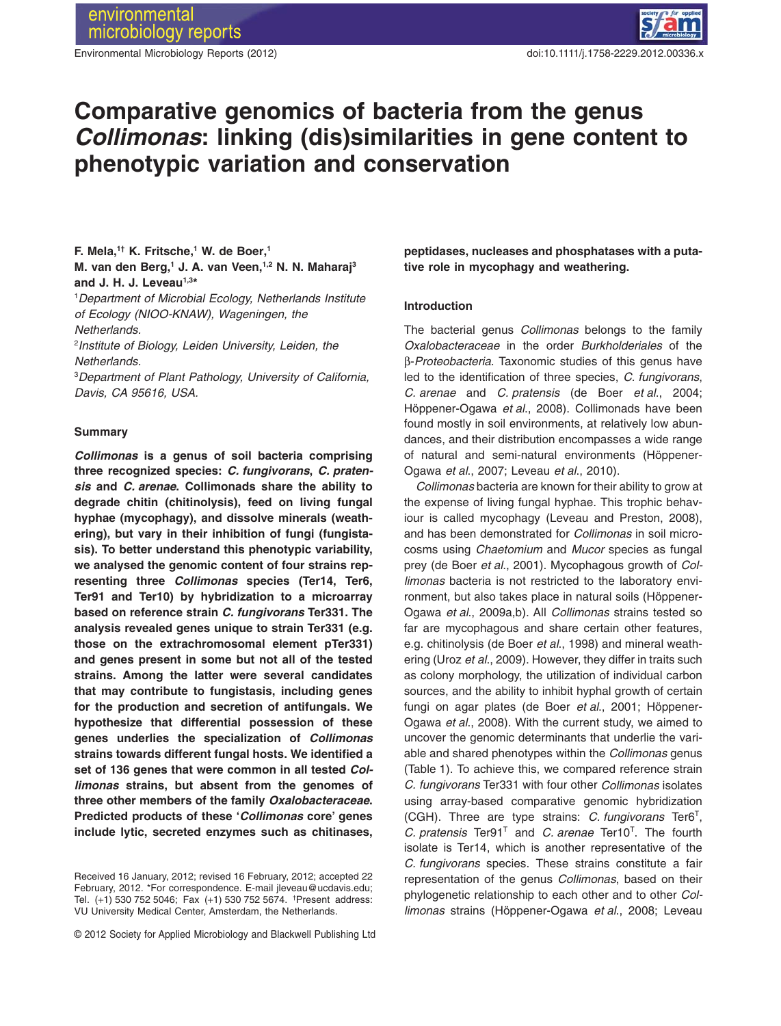

# **Comparative genomics of bacteria from the genus** *Collimonas***: linking (dis)similarities in gene content to** phenotypic variation and conservation

# **F. Mela,<sup>1†</sup> K. Fritsche,<sup>1</sup> W. de Boer,<sup>1</sup> M. van den Berg,1 J. A. van Veen,1,2 N. N. Maharaj3** and J. H. J. Leveau<sup>1,3\*</sup>

1 *Department of Microbial Ecology, Netherlands Institute of Ecology (NIOO-KNAW), Wageningen, the Netherlands.*

2 *Institute of Biology, Leiden University, Leiden, the Netherlands.*

3 *Department of Plant Pathology, University of California, Davis, CA 95616, USA.*

### **Summary**

*Collimonas* **is a genus of soil bacteria comprising three recognized species:** *C. fungivorans***,** *C. pratensis* **and** *C. arenae***. Collimonads share the ability to degrade chitin (chitinolysis), feed on living fungal hyphae (mycophagy), and dissolve minerals (weathering), but vary in their inhibition of fungi (fungistasis). To better understand this phenotypic variability, we analysed the genomic content of four strains representing three** *Collimonas* **species (Ter14, Ter6, Ter91 and Ter10) by hybridization to a microarray based on reference strain** *C. fungivorans* **Ter331. The analysis revealed genes unique to strain Ter331 (e.g. those on the extrachromosomal element pTer331) and genes present in some but not all of the tested strains. Among the latter were several candidates that may contribute to fungistasis, including genes for the production and secretion of antifungals. We hypothesize that differential possession of these genes underlies the specialization of** *Collimonas* **strains towards different fungal hosts. We identified a set of 136 genes that were common in all tested** *Collimonas* **strains, but absent from the genomes of three other members of the family** *Oxalobacteraceae***. Predicted products of these '***Collimonas* **core' genes include lytic, secreted enzymes such as chitinases,**

© 2012 Society for Applied Microbiology and Blackwell Publishing Ltd

**peptidases, nucleases and phosphatases with a putative role in mycophagy and weathering.**

#### **Introduction**

The bacterial genus *Collimonas* belongs to the family *Oxalobacteraceae* in the order *Burkholderiales* of the b-*Proteobacteria*. Taxonomic studies of this genus have led to the identification of three species, *C. fungivorans*, *C. arenae* and *C. pratensis* (de Boer *et al*., 2004; Höppener-Ogawa *et al*., 2008). Collimonads have been found mostly in soil environments, at relatively low abundances, and their distribution encompasses a wide range of natural and semi-natural environments (Höppener-Ogawa *et al*., 2007; Leveau *et al*., 2010).

*Collimonas* bacteria are known for their ability to grow at the expense of living fungal hyphae. This trophic behaviour is called mycophagy (Leveau and Preston, 2008), and has been demonstrated for *Collimonas* in soil microcosms using *Chaetomium* and *Mucor* species as fungal prey (de Boer *et al*., 2001). Mycophagous growth of *Collimonas* bacteria is not restricted to the laboratory environment, but also takes place in natural soils (Höppener-Ogawa *et al*., 2009a,b). All *Collimonas* strains tested so far are mycophagous and share certain other features, e.g. chitinolysis (de Boer *et al*., 1998) and mineral weathering (Uroz *et al*., 2009). However, they differ in traits such as colony morphology, the utilization of individual carbon sources, and the ability to inhibit hyphal growth of certain fungi on agar plates (de Boer *et al*., 2001; Höppener-Ogawa *et al*., 2008). With the current study, we aimed to uncover the genomic determinants that underlie the variable and shared phenotypes within the *Collimonas* genus (Table 1). To achieve this, we compared reference strain *C. fungivorans* Ter331 with four other *Collimonas* isolates using array-based comparative genomic hybridization (CGH). Three are type strains: *C. fungivorans* Ter6T, *C. pratensis* Ter91T and *C. arenae* Ter10T. The fourth isolate is Ter14, which is another representative of the *C. fungivorans* species. These strains constitute a fair representation of the genus *Collimonas*, based on their phylogenetic relationship to each other and to other *Collimonas* strains (Höppener-Ogawa *et al*., 2008; Leveau

Received 16 January, 2012; revised 16 February, 2012; accepted 22 February, 2012. \*For correspondence. E-mail jleveau@ucdavis.edu; Tel. (+1) 530 752 5046; Fax (+1) 530 752 5674. † Present address: VU University Medical Center, Amsterdam, the Netherlands.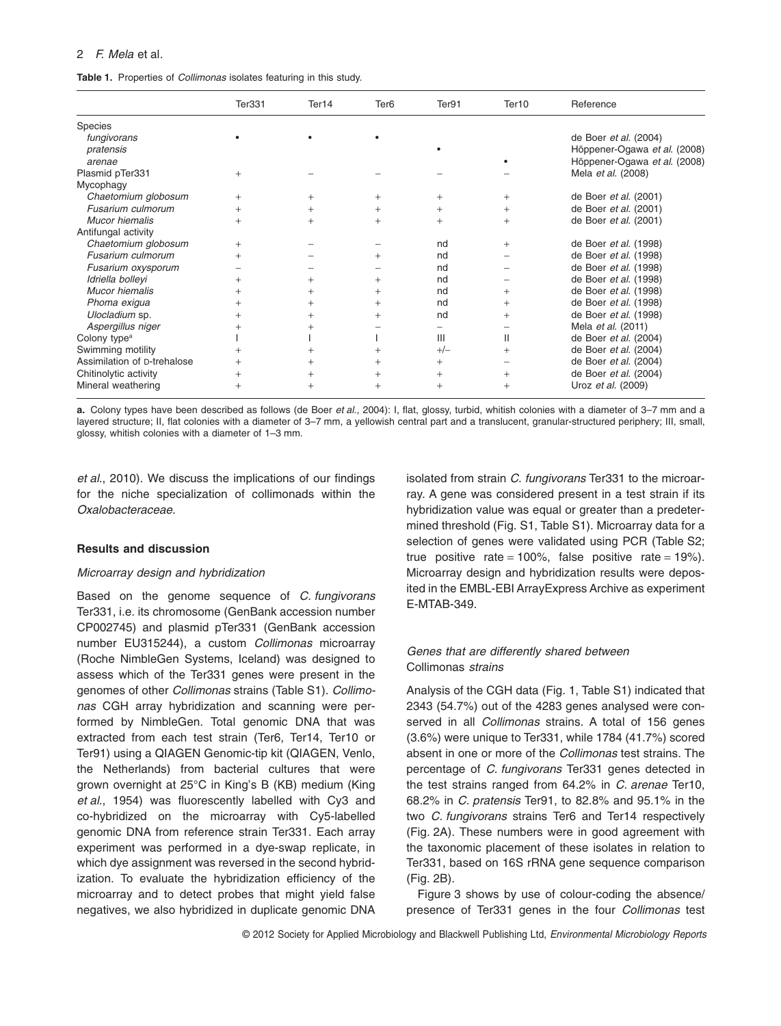## 2 *F. Mela* et al*.*

## **Table 1.** Properties of *Collimonas* isolates featuring in this study.

|                             | Ter331         | Ter14 | Ter <sub>6</sub> | Ter91  | Ter <sub>10</sub> | Reference                    |
|-----------------------------|----------------|-------|------------------|--------|-------------------|------------------------------|
| Species                     |                |       |                  |        |                   |                              |
| fungivorans                 |                |       |                  |        |                   | de Boer et al. (2004)        |
| pratensis                   |                |       |                  |        |                   | Höppener-Ogawa et al. (2008) |
| arenae                      |                |       |                  |        |                   | Höppener-Ogawa et al. (2008) |
| Plasmid pTer331             | $^{+}$         |       |                  |        |                   | Mela et al. (2008)           |
| Mycophagy                   |                |       |                  |        |                   |                              |
| Chaetomium globosum         | $+$            | $^+$  | $^{+}$           | $^{+}$ | $^{+}$            | de Boer et al. (2001)        |
| Fusarium culmorum           | $^+$           |       |                  | $^{+}$ | $\pm$             | de Boer et al. (2001)        |
| Mucor hiemalis              | $^{+}$         |       | $^{+}$           | $^{+}$ | $^{+}$            | de Boer et al. (2001)        |
| Antifungal activity         |                |       |                  |        |                   |                              |
| Chaetomium globosum         | $^+$           |       |                  | nd     | $\pm$             | de Boer et al. (1998)        |
| Fusarium culmorum           | $^+$           |       |                  | nd     |                   | de Boer et al. (1998)        |
| Fusarium oxysporum          |                |       |                  | nd     |                   | de Boer et al. (1998)        |
| Idriella bollevi            | $^+$           |       | $^{+}$           | nd     |                   | de Boer et al. (1998)        |
| Mucor hiemalis              | $^+$           | $^+$  | $+$              | nd     | $+$               | de Boer et al. (1998)        |
| Phoma exigua                | $^+$           |       | $+$              | nd     | $+$               | de Boer et al. (1998)        |
| Ulocladium sp.              |                |       |                  | nd     | $+$               | de Boer et al. (1998)        |
| Aspergillus niger           |                |       |                  |        |                   | Mela et al. (2011)           |
| Colony type <sup>a</sup>    |                |       |                  | III    | Ш                 | de Boer et al. (2004)        |
| Swimming motility           | $\overline{+}$ |       |                  | $+/-$  | $\pm$             | de Boer et al. (2004)        |
| Assimilation of D-trehalose | $^+$           |       | $^{+}$           | $^{+}$ |                   | de Boer et al. (2004)        |
| Chitinolytic activity       | $^{+}$         |       | $^{+}$           | $^{+}$ | $^{+}$            | de Boer et al. (2004)        |
| Mineral weathering          | $^{+}$         |       | $^{+}$           | $^{+}$ | $+$               | Uroz et al. (2009)           |

**a.** Colony types have been described as follows (de Boer *et al*., 2004): I, flat, glossy, turbid, whitish colonies with a diameter of 3–7 mm and a layered structure; II, flat colonies with a diameter of 3–7 mm, a yellowish central part and a translucent, granular-structured periphery; III, small, glossy, whitish colonies with a diameter of 1–3 mm.

*et al*., 2010). We discuss the implications of our findings for the niche specialization of collimonads within the *Oxalobacteraceae*.

### **Results and discussion**

### *Microarray design and hybridization*

Based on the genome sequence of *C. fungivorans* Ter331, i.e. its chromosome (GenBank accession number CP002745) and plasmid pTer331 (GenBank accession number EU315244), a custom *Collimonas* microarray (Roche NimbleGen Systems, Iceland) was designed to assess which of the Ter331 genes were present in the genomes of other *Collimonas* strains (Table S1). *Collimonas* CGH array hybridization and scanning were performed by NimbleGen. Total genomic DNA that was extracted from each test strain (Ter6, Ter14, Ter10 or Ter91) using a QIAGEN Genomic-tip kit (QIAGEN, Venlo, the Netherlands) from bacterial cultures that were grown overnight at 25°C in King's B (KB) medium (King *et al*., 1954) was fluorescently labelled with Cy3 and co-hybridized on the microarray with Cy5-labelled genomic DNA from reference strain Ter331. Each array experiment was performed in a dye-swap replicate, in which dye assignment was reversed in the second hybridization. To evaluate the hybridization efficiency of the microarray and to detect probes that might yield false negatives, we also hybridized in duplicate genomic DNA

isolated from strain *C. fungivorans* Ter331 to the microarray. A gene was considered present in a test strain if its hybridization value was equal or greater than a predetermined threshold (Fig. S1, Table S1). Microarray data for a selection of genes were validated using PCR (Table S2; true positive rate = 100%, false positive rate =  $19\%$ ). Microarray design and hybridization results were deposited in the EMBL-EBI ArrayExpress Archive as experiment E-MTAB-349.

# *Genes that are differently shared between* Collimonas *strains*

Analysis of the CGH data (Fig. 1, Table S1) indicated that 2343 (54.7%) out of the 4283 genes analysed were conserved in all *Collimonas* strains. A total of 156 genes (3.6%) were unique to Ter331, while 1784 (41.7%) scored absent in one or more of the *Collimonas* test strains. The percentage of *C. fungivorans* Ter331 genes detected in the test strains ranged from 64.2% in *C. arenae* Ter10, 68.2% in *C. pratensis* Ter91, to 82.8% and 95.1% in the two *C. fungivorans* strains Ter6 and Ter14 respectively (Fig. 2A). These numbers were in good agreement with the taxonomic placement of these isolates in relation to Ter331, based on 16S rRNA gene sequence comparison (Fig. 2B).

Figure 3 shows by use of colour-coding the absence/ presence of Ter331 genes in the four *Collimonas* test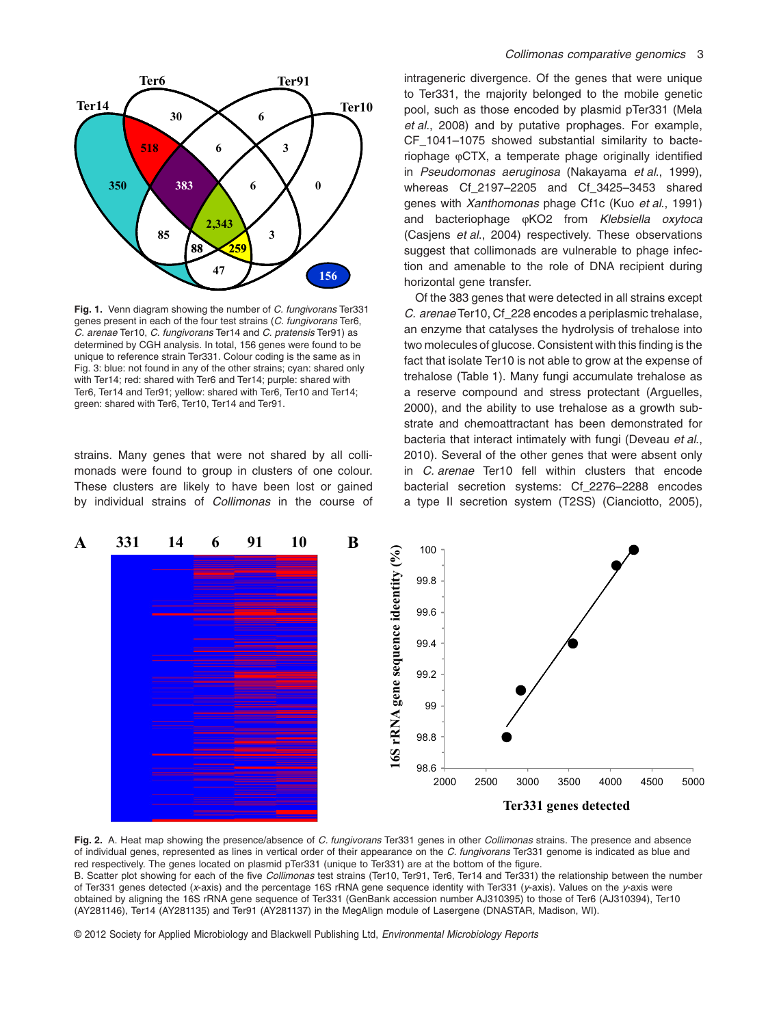

**Fig. 1.** Venn diagram showing the number of *C. fungivorans* Ter331 genes present in each of the four test strains (*C. fungivorans* Ter6, *C. arenae* Ter10, *C. fungivorans* Ter14 and *C. pratensis* Ter91) as determined by CGH analysis. In total, 156 genes were found to be unique to reference strain Ter331. Colour coding is the same as in Fig. 3: blue: not found in any of the other strains; cyan: shared only with Ter14; red: shared with Ter6 and Ter14; purple: shared with Ter6, Ter14 and Ter91; yellow: shared with Ter6, Ter10 and Ter14; green: shared with Ter6, Ter10, Ter14 and Ter91.

strains. Many genes that were not shared by all collimonads were found to group in clusters of one colour. These clusters are likely to have been lost or gained by individual strains of *Collimonas* in the course of intrageneric divergence. Of the genes that were unique to Ter331, the majority belonged to the mobile genetic pool, such as those encoded by plasmid pTer331 (Mela *et al*., 2008) and by putative prophages. For example, CF\_1041–1075 showed substantial similarity to bacteriophage  $\phi$ CTX, a temperate phage originally identified in *Pseudomonas aeruginosa* (Nakayama *et al*., 1999), whereas Cf\_2197–2205 and Cf\_3425–3453 shared genes with *Xanthomonas* phage Cf1c (Kuo *et al*., 1991) and bacteriophage  $\omega$ KO2 from *Klebsiella oxytoca* (Casjens *et al*., 2004) respectively. These observations suggest that collimonads are vulnerable to phage infection and amenable to the role of DNA recipient during horizontal gene transfer.

Of the 383 genes that were detected in all strains except *C. arenae* Ter10, Cf\_228 encodes a periplasmic trehalase, an enzyme that catalyses the hydrolysis of trehalose into two molecules of glucose. Consistent with this finding is the fact that isolate Ter10 is not able to grow at the expense of trehalose (Table 1). Many fungi accumulate trehalose as a reserve compound and stress protectant (Arguelles, 2000), and the ability to use trehalose as a growth substrate and chemoattractant has been demonstrated for bacteria that interact intimately with fungi (Deveau *et al*., 2010). Several of the other genes that were absent only in *C. arenae* Ter10 fell within clusters that encode bacterial secretion systems: Cf\_2276–2288 encodes a type II secretion system (T2SS) (Cianciotto, 2005),



**Fig. 2.** A. Heat map showing the presence/absence of *C. fungivorans* Ter331 genes in other *Collimonas* strains. The presence and absence of individual genes, represented as lines in vertical order of their appearance on the *C. fungivorans* Ter331 genome is indicated as blue and red respectively. The genes located on plasmid pTer331 (unique to Ter331) are at the bottom of the figure. B. Scatter plot showing for each of the five *Collimonas* test strains (Ter10, Ter91, Ter6, Ter14 and Ter331) the relationship between the number of Ter331 genes detected (*x*-axis) and the percentage 16S rRNA gene sequence identity with Ter331 (*y*-axis). Values on the *y*-axis were obtained by aligning the 16S rRNA gene sequence of Ter331 (GenBank accession number AJ310395) to those of Ter6 (AJ310394), Ter10 (AY281146), Ter14 (AY281135) and Ter91 (AY281137) in the MegAlign module of Lasergene (DNASTAR, Madison, WI).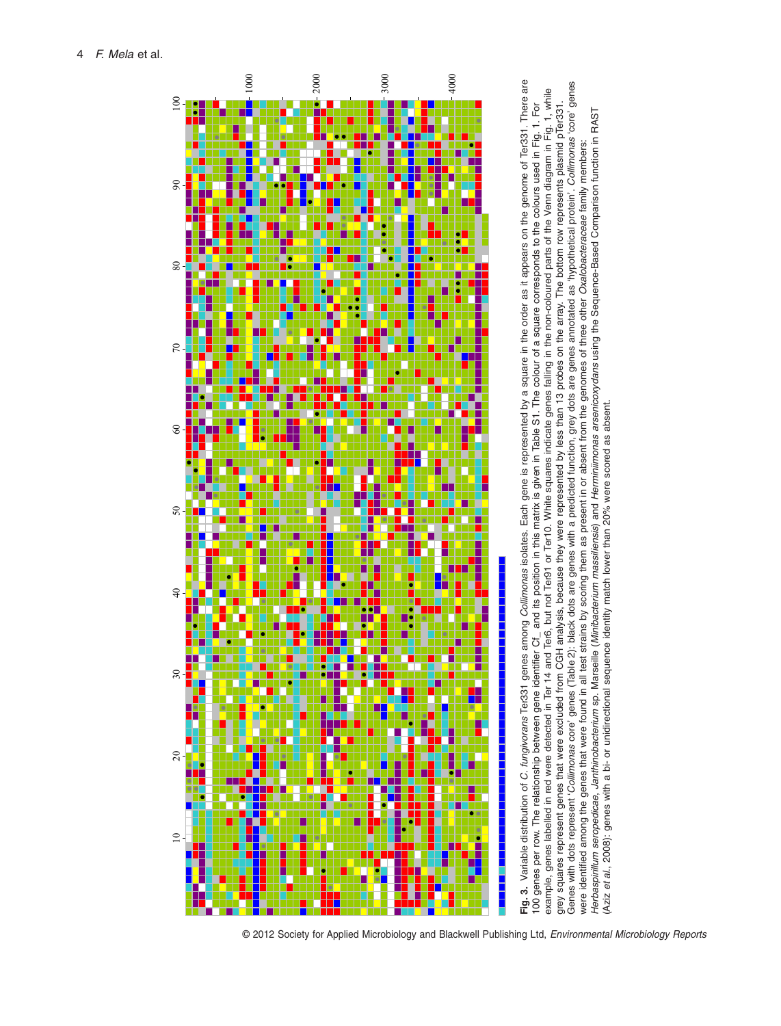

genes annotated as 'hypothetical protein'. Collimonas 'core' genes Genes with dots represent '*Collimonas* core' genes (Table 2): black dots are genes with a predicted function, grey dots are genes annotated as 'hypothetical protein'. *Collimonas* 'core' genes genes labelled in red were detected in Ter 14 and Ter6, but not Ter91 or Ter10. White squares indicate genes falling in the non-coloured parts of the Venn diagram in Fig. 1, while example, genes labelled in red were detected in Ter 14 and Ter6, but not Ter91 or Ter10. White squares indicate genes falling in the non-coloured parts of the Venn diagram in Fig. 1, while grey squares represent genes that were excluded from CGH analysis, because they were represented by less than 13 probes on the array. The bottom row represents plasmid pTer331. and its position in this matrix is given in Table S1. The colour of a square corresponds to the colours used in Fig. 1. For 100 genes per row. The relationship between gene identifier Cf\_ and its position in this matrix is given in Table S1. The colour of a square corresponds to the colours used in Fig. 1. For grey squares represent genes that were excluded from CGH analysis, because they were represented by less than 13 probes on the array. The bottom row represents plasmid pTer331. Herbaspirillum seropedicae, Janthinobacterium sp. Marseille (Minibacterium massiliensis) and Herminiimonas arsenicoxydans using the Sequence-Based Comparison function in RAST Herbaspirillum seropedicae, Janthinobacterium sp. Marseille (Minibacterium massiliensis) and Herminilmonas arsenicoxydans using the Sequence-Based Comparison function in RAST were identified among the genes that were found in all test strains by scoring them as present in or absent from the genomes of three other Oxalobacteraceae family members: were identified among the genes that were found in all test strains by scoring them as present in or absent from the genomes of three other *Oxalobacteraceae* family members: grey dots are Aziz et al., 2008); genes with a bi- or unidirectional sequence identity match lower than 20% were scored as absent. (Aziz *et al*., 2008): genes with a bi- or unidirectional sequence identity match lower than 20% were scored as absent. 'Collimonas core' genes (Table 2): black dots are genes with a predicted function, The relationship between gene identifier Cf. Genes with dots represent genes per row. example,  $100$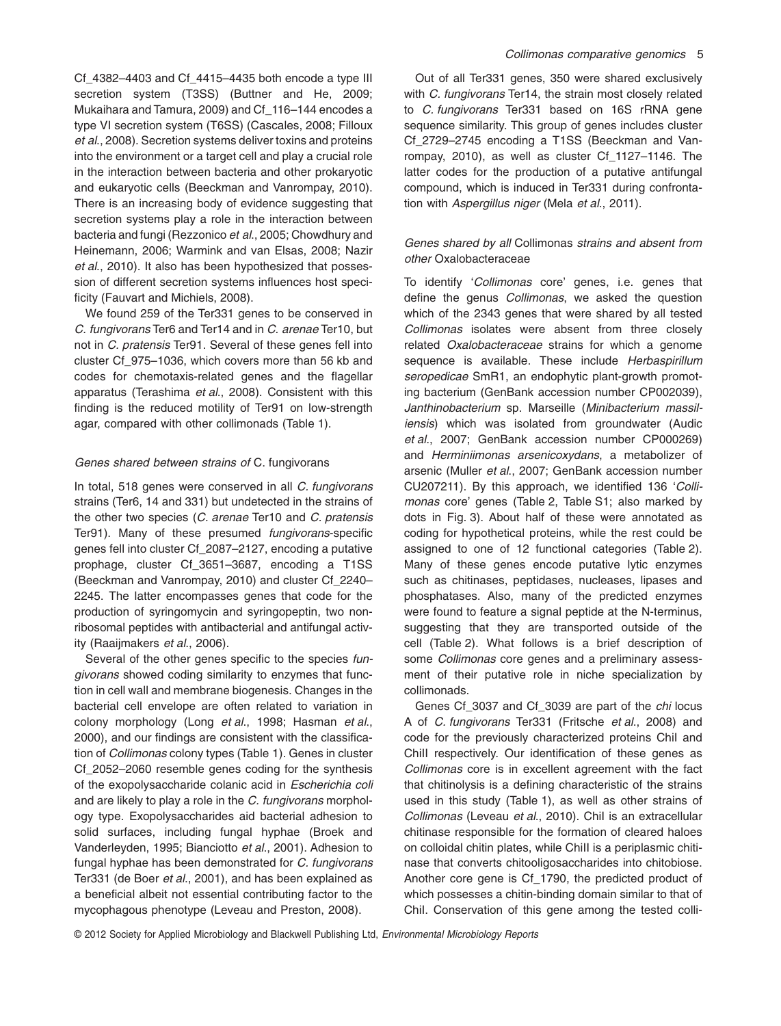Cf\_4382–4403 and Cf\_4415–4435 both encode a type III secretion system (T3SS) (Buttner and He, 2009; Mukaihara and Tamura, 2009) and Cf\_116–144 encodes a type VI secretion system (T6SS) (Cascales, 2008; Filloux *et al*., 2008). Secretion systems deliver toxins and proteins into the environment or a target cell and play a crucial role in the interaction between bacteria and other prokaryotic and eukaryotic cells (Beeckman and Vanrompay, 2010). There is an increasing body of evidence suggesting that secretion systems play a role in the interaction between bacteria and fungi (Rezzonico *et al*., 2005; Chowdhury and Heinemann, 2006; Warmink and van Elsas, 2008; Nazir *et al*., 2010). It also has been hypothesized that possession of different secretion systems influences host specificity (Fauvart and Michiels, 2008).

We found 259 of the Ter331 genes to be conserved in *C. fungivorans* Ter6 and Ter14 and in *C. arenae* Ter10, but not in *C. pratensis* Ter91. Several of these genes fell into cluster Cf\_975–1036, which covers more than 56 kb and codes for chemotaxis-related genes and the flagellar apparatus (Terashima *et al*., 2008). Consistent with this finding is the reduced motility of Ter91 on low-strength agar, compared with other collimonads (Table 1).

## *Genes shared between strains of* C. fungivorans

In total, 518 genes were conserved in all *C. fungivorans* strains (Ter6, 14 and 331) but undetected in the strains of the other two species (*C. arenae* Ter10 and *C. pratensis* Ter91). Many of these presumed *fungivorans*-specific genes fell into cluster Cf\_2087–2127, encoding a putative prophage, cluster Cf\_3651–3687, encoding a T1SS (Beeckman and Vanrompay, 2010) and cluster Cf\_2240– 2245. The latter encompasses genes that code for the production of syringomycin and syringopeptin, two nonribosomal peptides with antibacterial and antifungal activity (Raaijmakers *et al*., 2006).

Several of the other genes specific to the species *fungivorans* showed coding similarity to enzymes that function in cell wall and membrane biogenesis. Changes in the bacterial cell envelope are often related to variation in colony morphology (Long *et al*., 1998; Hasman *et al*., 2000), and our findings are consistent with the classification of *Collimonas* colony types (Table 1). Genes in cluster Cf\_2052–2060 resemble genes coding for the synthesis of the exopolysaccharide colanic acid in *Escherichia coli* and are likely to play a role in the *C. fungivorans* morphology type. Exopolysaccharides aid bacterial adhesion to solid surfaces, including fungal hyphae (Broek and Vanderleyden, 1995; Bianciotto *et al*., 2001). Adhesion to fungal hyphae has been demonstrated for *C. fungivorans* Ter331 (de Boer *et al*., 2001), and has been explained as a beneficial albeit not essential contributing factor to the mycophagous phenotype (Leveau and Preston, 2008).

Out of all Ter331 genes, 350 were shared exclusively with *C. fungivorans* Ter14, the strain most closely related to *C. fungivorans* Ter331 based on 16S rRNA gene sequence similarity. This group of genes includes cluster Cf\_2729–2745 encoding a T1SS (Beeckman and Vanrompay, 2010), as well as cluster Cf\_1127–1146. The latter codes for the production of a putative antifungal compound, which is induced in Ter331 during confrontation with *Aspergillus niger* (Mela *et al*., 2011).

# *Genes shared by all* Collimonas *strains and absent from other* Oxalobacteraceae

To identify '*Collimonas* core' genes, i.e. genes that define the genus *Collimonas*, we asked the question which of the 2343 genes that were shared by all tested *Collimonas* isolates were absent from three closely related *Oxalobacteraceae* strains for which a genome sequence is available. These include *Herbaspirillum seropedicae* SmR1, an endophytic plant-growth promoting bacterium (GenBank accession number CP002039), *Janthinobacterium* sp. Marseille (*Minibacterium massiliensis*) which was isolated from groundwater (Audic *et al*., 2007; GenBank accession number CP000269) and *Herminiimonas arsenicoxydans*, a metabolizer of arsenic (Muller *et al*., 2007; GenBank accession number CU207211). By this approach, we identified 136 '*Collimonas* core' genes (Table 2, Table S1; also marked by dots in Fig. 3). About half of these were annotated as coding for hypothetical proteins, while the rest could be assigned to one of 12 functional categories (Table 2). Many of these genes encode putative lytic enzymes such as chitinases, peptidases, nucleases, lipases and phosphatases. Also, many of the predicted enzymes were found to feature a signal peptide at the N-terminus, suggesting that they are transported outside of the cell (Table 2). What follows is a brief description of some *Collimonas* core genes and a preliminary assessment of their putative role in niche specialization by collimonads.

Genes Cf\_3037 and Cf\_3039 are part of the *chi* locus A of *C. fungivorans* Ter331 (Fritsche *et al*., 2008) and code for the previously characterized proteins ChiI and ChiII respectively. Our identification of these genes as *Collimonas* core is in excellent agreement with the fact that chitinolysis is a defining characteristic of the strains used in this study (Table 1), as well as other strains of *Collimonas* (Leveau *et al*., 2010). ChiI is an extracellular chitinase responsible for the formation of cleared haloes on colloidal chitin plates, while ChiII is a periplasmic chitinase that converts chitooligosaccharides into chitobiose. Another core gene is Cf\_1790, the predicted product of which possesses a chitin-binding domain similar to that of ChiI. Conservation of this gene among the tested colli-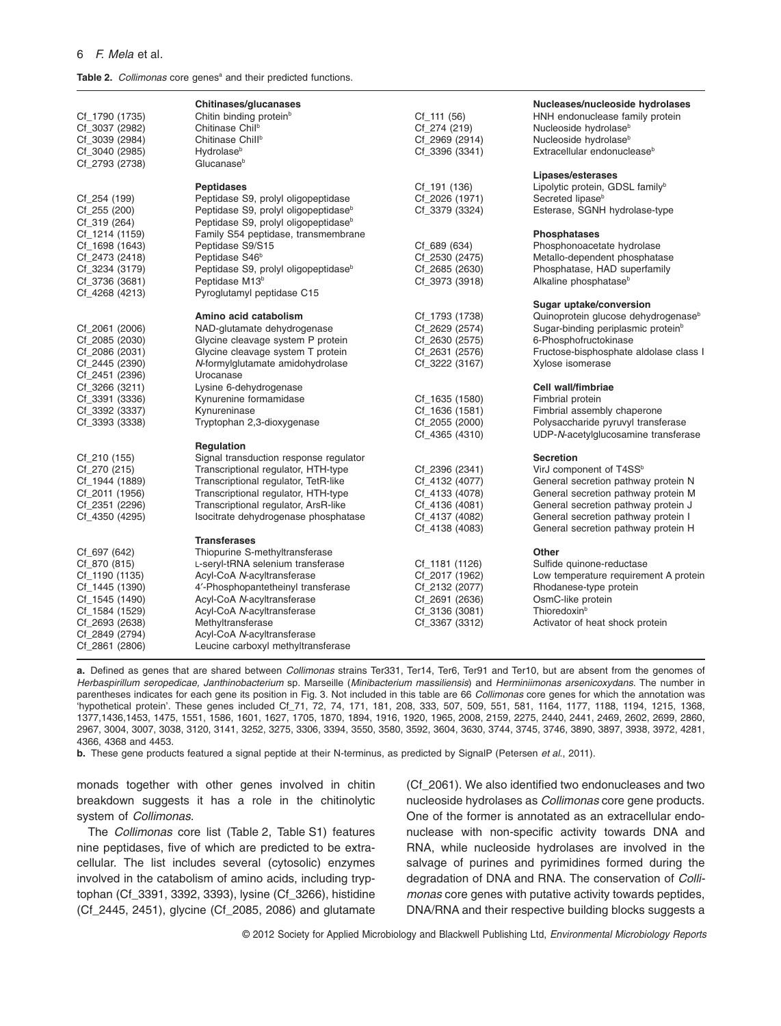#### 6 *F. Mela* et al*.*

Table 2. *Collimonas* core genes<sup>a</sup> and their predicted functions.

| Cf_1790 (1735)<br>Cf_3037 (2982)<br>Cf_3039 (2984)<br>Cf_3040 (2985)<br>Cf_2793 (2738)                                                                     | Chitinases/glucanases<br>Chitin binding protein <sup>b</sup><br>Chitinase Chil <sup>b</sup><br>Chitinase Chill <sup>b</sup><br><b>Hydrolase</b> <sup>b</sup><br>Glucanase <sup>b</sup>                                                                                                                              | $Cf_111(56)$<br>Cf_274 (219)<br>Cf_2969 (2914)<br>Cf_3396 (3341)                                         | Nucleases/nucleoside hydrolases<br>HNH endonuclease family protein<br>Nucleoside hydrolase <sup>b</sup><br>Nucleoside hydrolase <sup>b</sup><br>Extracellular endonuclease <sup>b</sup><br>Lipases/esterases                                               |
|------------------------------------------------------------------------------------------------------------------------------------------------------------|---------------------------------------------------------------------------------------------------------------------------------------------------------------------------------------------------------------------------------------------------------------------------------------------------------------------|----------------------------------------------------------------------------------------------------------|------------------------------------------------------------------------------------------------------------------------------------------------------------------------------------------------------------------------------------------------------------|
| Cf_254 (199)<br>Cf_255 (200)<br>$Cf_319(264)$<br>Cf_1214 (1159)<br>Cf_1698 (1643)                                                                          | <b>Peptidases</b><br>Peptidase S9, prolyl oligopeptidase<br>Peptidase S9, prolyl oligopeptidase <sup>b</sup><br>Peptidase S9, prolyl oligopeptidase <sup>b</sup><br>Family S54 peptidase, transmembrane<br>Peptidase S9/S15                                                                                         | Cf_191 (136)<br>Cf_2026 (1971)<br>Cf_3379 (3324)<br>Cf_689 (634)                                         | Lipolytic protein, GDSL family <sup>b</sup><br>Secreted lipase <sup>b</sup><br>Esterase, SGNH hydrolase-type<br>Phosphatases<br>Phosphonoacetate hydrolase                                                                                                 |
| Cf_2473 (2418)<br>Cf_3234 (3179)<br>Cf_3736 (3681)<br>Cf_4268 (4213)                                                                                       | Peptidase S46 <sup>b</sup><br>Peptidase S9, prolyl oligopeptidase <sup>b</sup><br>Peptidase M13 <sup>b</sup><br>Pyroglutamyl peptidase C15                                                                                                                                                                          | Cf_2530 (2475)<br>Cf_2685 (2630)<br>Cf_3973 (3918)                                                       | Metallo-dependent phosphatase<br>Phosphatase, HAD superfamily<br>Alkaline phosphatase <sup>b</sup>                                                                                                                                                         |
| Cf_2061 (2006)<br>Cf_2085 (2030)<br>Cf_2086 (2031)<br>Cf_2445 (2390)<br>Cf_2451 (2396)                                                                     | Amino acid catabolism<br>NAD-glutamate dehydrogenase<br>Glycine cleavage system P protein<br>Glycine cleavage system T protein<br>N-formylglutamate amidohydrolase<br>Urocanase                                                                                                                                     | Cf_1793 (1738)<br>Cf_2629 (2574)<br>Cf_2630 (2575)<br>Cf 2631 (2576)<br>Cf_3222 (3167)                   | Sugar uptake/conversion<br>Quinoprotein glucose dehydrogenase <sup>b</sup><br>Sugar-binding periplasmic protein <sup>b</sup><br>6-Phosphofructokinase<br>Fructose-bisphosphate aldolase class I<br>Xylose isomerase                                        |
| Cf_3266 (3211)<br>Cf_3391 (3336)<br>Cf_3392 (3337)<br>Cf_3393 (3338)                                                                                       | Lysine 6-dehydrogenase<br>Kynurenine formamidase<br>Kynureninase<br>Tryptophan 2,3-dioxygenase                                                                                                                                                                                                                      | Cf_1635 (1580)<br>Cf_1636 (1581)<br>Cf_2055 (2000)<br>Cf_4365 (4310)                                     | Cell wall/fimbriae<br>Fimbrial protein<br>Fimbrial assembly chaperone<br>Polysaccharide pyruvyl transferase<br>UDP-N-acetylglucosamine transferase                                                                                                         |
| $Cf_210(155)$<br>Cf_270 (215)<br>Cf_1944 (1889)<br>Cf_2011 (1956)<br>Cf_2351 (2296)<br>Cf_4350 (4295)                                                      | <b>Regulation</b><br>Signal transduction response regulator<br>Transcriptional regulator, HTH-type<br>Transcriptional regulator, TetR-like<br>Transcriptional regulator, HTH-type<br>Transcriptional regulator, ArsR-like<br>Isocitrate dehydrogenase phosphatase                                                   | Cf_2396 (2341)<br>Cf_4132 (4077)<br>Cf_4133 (4078)<br>Cf_4136 (4081)<br>Cf_4137 (4082)<br>Cf_4138 (4083) | <b>Secretion</b><br>VirJ component of T4SS <sup>b</sup><br>General secretion pathway protein N<br>General secretion pathway protein M<br>General secretion pathway protein J<br>General secretion pathway protein I<br>General secretion pathway protein H |
| Cf_697 (642)<br>Cf_870 (815)<br>Cf_1190 (1135)<br>Cf_1445 (1390)<br>Cf_1545 (1490)<br>Cf_1584 (1529)<br>Cf_2693 (2638)<br>Cf_2849 (2794)<br>Cf_2861 (2806) | <b>Transferases</b><br>Thiopurine S-methyltransferase<br>L-seryl-tRNA selenium transferase<br>Acyl-CoA N-acyltransferase<br>4'-Phosphopantetheinyl transferase<br>Acyl-CoA N-acyltransferase<br>Acyl-CoA N-acyltransferase<br>Methyltransferase<br>Acyl-CoA N-acyltransferase<br>Leucine carboxyl methyltransferase | Cf_1181 (1126)<br>Cf_2017 (1962)<br>Cf_2132 (2077)<br>Cf_2691 (2636)<br>Cf_3136 (3081)<br>Cf_3367 (3312) | <b>Other</b><br>Sulfide quinone-reductase<br>Low temperature requirement A protein<br>Rhodanese-type protein<br>OsmC-like protein<br>Thioredoxin <sup>b</sup><br>Activator of heat shock protein                                                           |

**a.** Defined as genes that are shared between *Collimonas* strains Ter331, Ter14, Ter6, Ter91 and Ter10, but are absent from the genomes of *Herbaspirillum seropedicae, Janthinobacterium* sp. Marseille (*Minibacterium massiliensis*) and *Herminiimonas arsenicoxydans*. The number in parentheses indicates for each gene its position in Fig. 3. Not included in this table are 66 *Collimonas* core genes for which the annotation was 'hypothetical protein'. These genes included Cf\_71, 72, 74, 171, 181, 208, 333, 507, 509, 551, 581, 1164, 1177, 1188, 1194, 1215, 1368, 1377,1436,1453, 1475, 1551, 1586, 1601, 1627, 1705, 1870, 1894, 1916, 1920, 1965, 2008, 2159, 2275, 2440, 2441, 2469, 2602, 2699, 2860, 2967, 3004, 3007, 3038, 3120, 3141, 3252, 3275, 3306, 3394, 3550, 3580, 3592, 3604, 3630, 3744, 3745, 3746, 3890, 3897, 3938, 3972, 4281, 4366, 4368 and 4453.

**b.** These gene products featured a signal peptide at their N-terminus, as predicted by SignalP (Petersen *et al*., 2011).

monads together with other genes involved in chitin breakdown suggests it has a role in the chitinolytic system of *Collimonas*.

The *Collimonas* core list (Table 2, Table S1) features nine peptidases, five of which are predicted to be extracellular. The list includes several (cytosolic) enzymes involved in the catabolism of amino acids, including tryptophan (Cf\_3391, 3392, 3393), lysine (Cf\_3266), histidine (Cf\_2445, 2451), glycine (Cf\_2085, 2086) and glutamate (Cf\_2061). We also identified two endonucleases and two nucleoside hydrolases as *Collimonas* core gene products. One of the former is annotated as an extracellular endonuclease with non-specific activity towards DNA and RNA, while nucleoside hydrolases are involved in the salvage of purines and pyrimidines formed during the degradation of DNA and RNA. The conservation of *Collimonas* core genes with putative activity towards peptides, DNA/RNA and their respective building blocks suggests a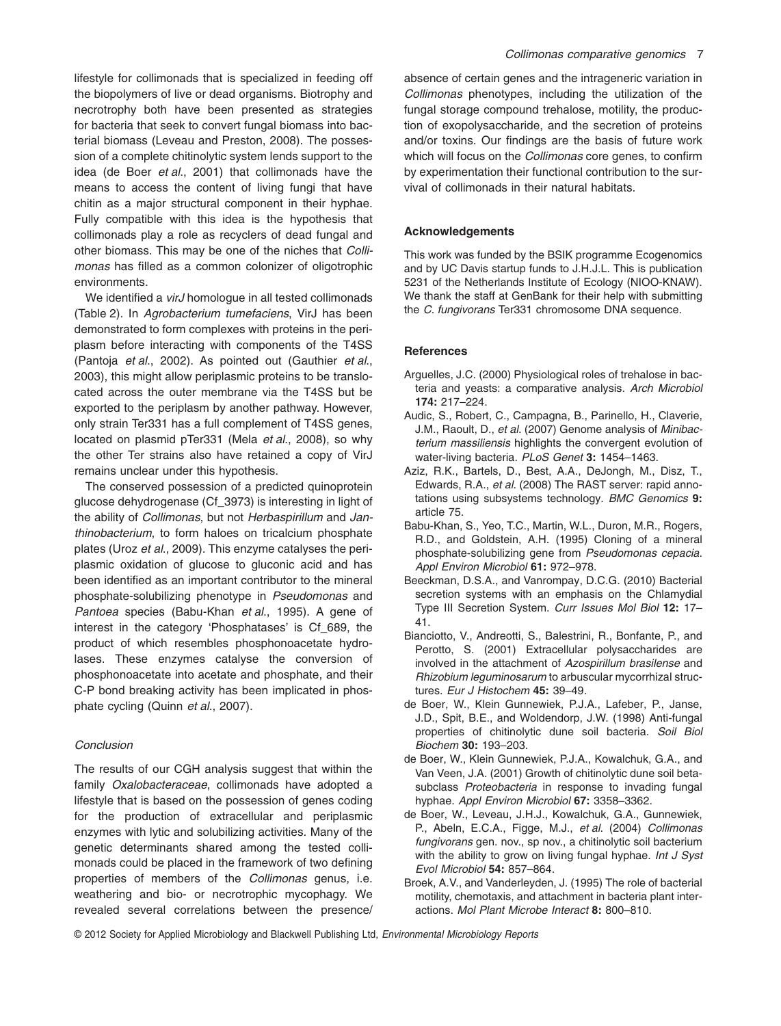lifestyle for collimonads that is specialized in feeding off the biopolymers of live or dead organisms. Biotrophy and necrotrophy both have been presented as strategies for bacteria that seek to convert fungal biomass into bacterial biomass (Leveau and Preston, 2008). The possession of a complete chitinolytic system lends support to the idea (de Boer *et al*., 2001) that collimonads have the means to access the content of living fungi that have chitin as a major structural component in their hyphae. Fully compatible with this idea is the hypothesis that collimonads play a role as recyclers of dead fungal and other biomass. This may be one of the niches that *Collimonas* has filled as a common colonizer of oligotrophic environments.

We identified a *virJ* homologue in all tested collimonads (Table 2). In *Agrobacterium tumefaciens*, VirJ has been demonstrated to form complexes with proteins in the periplasm before interacting with components of the T4SS (Pantoja *et al*., 2002). As pointed out (Gauthier *et al*., 2003), this might allow periplasmic proteins to be translocated across the outer membrane via the T4SS but be exported to the periplasm by another pathway. However, only strain Ter331 has a full complement of T4SS genes, located on plasmid pTer331 (Mela *et al*., 2008), so why the other Ter strains also have retained a copy of VirJ remains unclear under this hypothesis.

The conserved possession of a predicted quinoprotein glucose dehydrogenase (Cf\_3973) is interesting in light of the ability of *Collimonas*, but not *Herbaspirillum* and *Janthinobacterium*, to form haloes on tricalcium phosphate plates (Uroz *et al*., 2009). This enzyme catalyses the periplasmic oxidation of glucose to gluconic acid and has been identified as an important contributor to the mineral phosphate-solubilizing phenotype in *Pseudomonas* and *Pantoea* species (Babu-Khan *et al*., 1995). A gene of interest in the category 'Phosphatases' is Cf\_689, the product of which resembles phosphonoacetate hydrolases. These enzymes catalyse the conversion of phosphonoacetate into acetate and phosphate, and their C-P bond breaking activity has been implicated in phosphate cycling (Quinn *et al*., 2007).

## *Conclusion*

The results of our CGH analysis suggest that within the family *Oxalobacteraceae*, collimonads have adopted a lifestyle that is based on the possession of genes coding for the production of extracellular and periplasmic enzymes with lytic and solubilizing activities. Many of the genetic determinants shared among the tested collimonads could be placed in the framework of two defining properties of members of the *Collimonas* genus, i.e. weathering and bio- or necrotrophic mycophagy. We revealed several correlations between the presence/

absence of certain genes and the intrageneric variation in *Collimonas* phenotypes, including the utilization of the fungal storage compound trehalose, motility, the production of exopolysaccharide, and the secretion of proteins and/or toxins. Our findings are the basis of future work which will focus on the *Collimonas* core genes, to confirm by experimentation their functional contribution to the survival of collimonads in their natural habitats.

## **Acknowledgements**

This work was funded by the BSIK programme Ecogenomics and by UC Davis startup funds to J.H.J.L. This is publication 5231 of the Netherlands Institute of Ecology (NIOO-KNAW). We thank the staff at GenBank for their help with submitting the *C. fungivorans* Ter331 chromosome DNA sequence.

### **References**

- Arguelles, J.C. (2000) Physiological roles of trehalose in bacteria and yeasts: a comparative analysis. *Arch Microbiol* **174:** 217–224.
- Audic, S., Robert, C., Campagna, B., Parinello, H., Claverie, J.M., Raoult, D., *et al*. (2007) Genome analysis of *Minibacterium massiliensis* highlights the convergent evolution of water-living bacteria. *PLoS Genet* **3:** 1454–1463.
- Aziz, R.K., Bartels, D., Best, A.A., DeJongh, M., Disz, T., Edwards, R.A., *et al*. (2008) The RAST server: rapid annotations using subsystems technology. *BMC Genomics* **9:** article 75.
- Babu-Khan, S., Yeo, T.C., Martin, W.L., Duron, M.R., Rogers, R.D., and Goldstein, A.H. (1995) Cloning of a mineral phosphate-solubilizing gene from *Pseudomonas cepacia*. *Appl Environ Microbiol* **61:** 972–978.
- Beeckman, D.S.A., and Vanrompay, D.C.G. (2010) Bacterial secretion systems with an emphasis on the Chlamydial Type III Secretion System. *Curr Issues Mol Biol* **12:** 17– 41.
- Bianciotto, V., Andreotti, S., Balestrini, R., Bonfante, P., and Perotto, S. (2001) Extracellular polysaccharides are involved in the attachment of *Azospirillum brasilense* and *Rhizobium leguminosarum* to arbuscular mycorrhizal structures. *Eur J Histochem* **45:** 39–49.
- de Boer, W., Klein Gunnewiek, P.J.A., Lafeber, P., Janse, J.D., Spit, B.E., and Woldendorp, J.W. (1998) Anti-fungal properties of chitinolytic dune soil bacteria. *Soil Biol Biochem* **30:** 193–203.
- de Boer, W., Klein Gunnewiek, P.J.A., Kowalchuk, G.A., and Van Veen, J.A. (2001) Growth of chitinolytic dune soil betasubclass *Proteobacteria* in response to invading fungal hyphae. *Appl Environ Microbiol* **67:** 3358–3362.
- de Boer, W., Leveau, J.H.J., Kowalchuk, G.A., Gunnewiek, P., Abeln, E.C.A., Figge, M.J., *et al*. (2004) *Collimonas fungivorans* gen. nov., sp nov., a chitinolytic soil bacterium with the ability to grow on living fungal hyphae. *Int J Syst Evol Microbiol* **54:** 857–864.
- Broek, A.V., and Vanderleyden, J. (1995) The role of bacterial motility, chemotaxis, and attachment in bacteria plant interactions. *Mol Plant Microbe Interact* **8:** 800–810.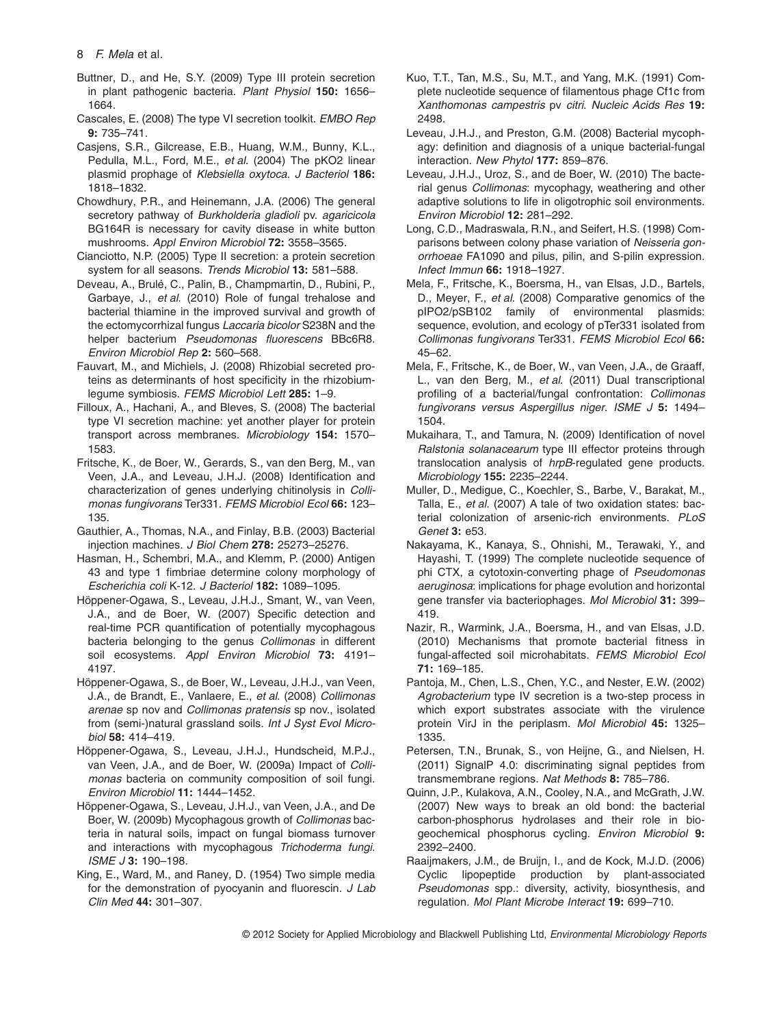## 8 *F. Mela* et al*.*

- Buttner, D., and He, S.Y. (2009) Type III protein secretion in plant pathogenic bacteria. *Plant Physiol* **150:** 1656– 1664.
- Cascales, E. (2008) The type VI secretion toolkit. *EMBO Rep* **9:** 735–741.
- Casjens, S.R., Gilcrease, E.B., Huang, W.M., Bunny, K.L., Pedulla, M.L., Ford, M.E., *et al*. (2004) The pKO2 linear plasmid prophage of *Klebsiella oxytoca*. *J Bacteriol* **186:** 1818–1832.
- Chowdhury, P.R., and Heinemann, J.A. (2006) The general secretory pathway of *Burkholderia gladioli* pv. *agaricicola* BG164R is necessary for cavity disease in white button mushrooms. *Appl Environ Microbiol* **72:** 3558–3565.
- Cianciotto, N.P. (2005) Type II secretion: a protein secretion system for all seasons. *Trends Microbiol* **13:** 581–588.
- Deveau, A., Brulé, C., Palin, B., Champmartin, D., Rubini, P., Garbaye, J., *et al*. (2010) Role of fungal trehalose and bacterial thiamine in the improved survival and growth of the ectomycorrhizal fungus *Laccaria bicolor* S238N and the helper bacterium *Pseudomonas fluorescens* BBc6R8. *Environ Microbiol Rep* **2:** 560–568.
- Fauvart, M., and Michiels, J. (2008) Rhizobial secreted proteins as determinants of host specificity in the rhizobiumlegume symbiosis. *FEMS Microbiol Lett* **285:** 1–9.
- Filloux, A., Hachani, A., and Bleves, S. (2008) The bacterial type VI secretion machine: yet another player for protein transport across membranes. *Microbiology* **154:** 1570– 1583.
- Fritsche, K., de Boer, W., Gerards, S., van den Berg, M., van Veen, J.A., and Leveau, J.H.J. (2008) Identification and characterization of genes underlying chitinolysis in *Collimonas fungivorans* Ter331. *FEMS Microbiol Ecol* **66:** 123– 135.
- Gauthier, A., Thomas, N.A., and Finlay, B.B. (2003) Bacterial injection machines. *J Biol Chem* **278:** 25273–25276.
- Hasman, H., Schembri, M.A., and Klemm, P. (2000) Antigen 43 and type 1 fimbriae determine colony morphology of *Escherichia coli* K-12. *J Bacteriol* **182:** 1089–1095.
- Höppener-Ogawa, S., Leveau, J.H.J., Smant, W., van Veen, J.A., and de Boer, W. (2007) Specific detection and real-time PCR quantification of potentially mycophagous bacteria belonging to the genus *Collimonas* in different soil ecosystems. *Appl Environ Microbiol* **73:** 4191– 4197.
- Höppener-Ogawa, S., de Boer, W., Leveau, J.H.J., van Veen, J.A., de Brandt, E., Vanlaere, E., *et al*. (2008) *Collimonas arenae* sp nov and *Collimonas pratensis* sp nov., isolated from (semi-)natural grassland soils. *Int J Syst Evol Microbiol* **58:** 414–419.
- Höppener-Ogawa, S., Leveau, J.H.J., Hundscheid, M.P.J., van Veen, J.A., and de Boer, W. (2009a) Impact of *Collimonas* bacteria on community composition of soil fungi. *Environ Microbiol* **11:** 1444–1452.
- Höppener-Ogawa, S., Leveau, J.H.J., van Veen, J.A., and De Boer, W. (2009b) Mycophagous growth of *Collimonas* bacteria in natural soils, impact on fungal biomass turnover and interactions with mycophagous *Trichoderma fungi*. *ISME J* **3:** 190–198.
- King, E., Ward, M., and Raney, D. (1954) Two simple media for the demonstration of pyocyanin and fluorescin. *J Lab Clin Med* **44:** 301–307.
- Kuo, T.T., Tan, M.S., Su, M.T., and Yang, M.K. (1991) Complete nucleotide sequence of filamentous phage Cf1c from *Xanthomonas campestris* pv *citri*. *Nucleic Acids Res* **19:** 2498.
- Leveau, J.H.J., and Preston, G.M. (2008) Bacterial mycophagy: definition and diagnosis of a unique bacterial-fungal interaction. *New Phytol* **177:** 859–876.
- Leveau, J.H.J., Uroz, S., and de Boer, W. (2010) The bacterial genus *Collimonas*: mycophagy, weathering and other adaptive solutions to life in oligotrophic soil environments. *Environ Microbiol* **12:** 281–292.
- Long, C.D., Madraswala, R.N., and Seifert, H.S. (1998) Comparisons between colony phase variation of *Neisseria gonorrhoeae* FA1090 and pilus, pilin, and S-pilin expression. *Infect Immun* **66:** 1918–1927.
- Mela, F., Fritsche, K., Boersma, H., van Elsas, J.D., Bartels, D., Meyer, F., *et al*. (2008) Comparative genomics of the pIPO2/pSB102 family of environmental plasmids: sequence, evolution, and ecology of pTer331 isolated from *Collimonas fungivorans* Ter331. *FEMS Microbiol Ecol* **66:** 45–62.
- Mela, F., Fritsche, K., de Boer, W., van Veen, J.A., de Graaff, L., van den Berg, M., *et al*. (2011) Dual transcriptional profiling of a bacterial/fungal confrontation: *Collimonas fungivorans versus Aspergillus niger*. *ISME J* **5:** 1494– 1504.
- Mukaihara, T., and Tamura, N. (2009) Identification of novel *Ralstonia solanacearum* type III effector proteins through translocation analysis of *hrpB*-regulated gene products. *Microbiology* **155:** 2235–2244.
- Muller, D., Medigue, C., Koechler, S., Barbe, V., Barakat, M., Talla, E., *et al*. (2007) A tale of two oxidation states: bacterial colonization of arsenic-rich environments. *PLoS Genet* **3:** e53.
- Nakayama, K., Kanaya, S., Ohnishi, M., Terawaki, Y., and Hayashi, T. (1999) The complete nucleotide sequence of phi CTX, a cytotoxin-converting phage of *Pseudomonas aeruginosa*: implications for phage evolution and horizontal gene transfer via bacteriophages. *Mol Microbiol* **31:** 399– 419.
- Nazir, R., Warmink, J.A., Boersma, H., and van Elsas, J.D. (2010) Mechanisms that promote bacterial fitness in fungal-affected soil microhabitats. *FEMS Microbiol Ecol* **71:** 169–185.
- Pantoja, M., Chen, L.S., Chen, Y.C., and Nester, E.W. (2002) *Agrobacterium* type IV secretion is a two-step process in which export substrates associate with the virulence protein VirJ in the periplasm. *Mol Microbiol* **45:** 1325– 1335.
- Petersen, T.N., Brunak, S., von Heijne, G., and Nielsen, H. (2011) SignalP 4.0: discriminating signal peptides from transmembrane regions. *Nat Methods* **8:** 785–786.
- Quinn, J.P., Kulakova, A.N., Cooley, N.A., and McGrath, J.W. (2007) New ways to break an old bond: the bacterial carbon-phosphorus hydrolases and their role in biogeochemical phosphorus cycling. *Environ Microbiol* **9:** 2392–2400.
- Raaijmakers, J.M., de Bruijn, I., and de Kock, M.J.D. (2006) Cyclic lipopeptide production by plant-associated *Pseudomonas* spp.: diversity, activity, biosynthesis, and regulation. *Mol Plant Microbe Interact* **19:** 699–710.